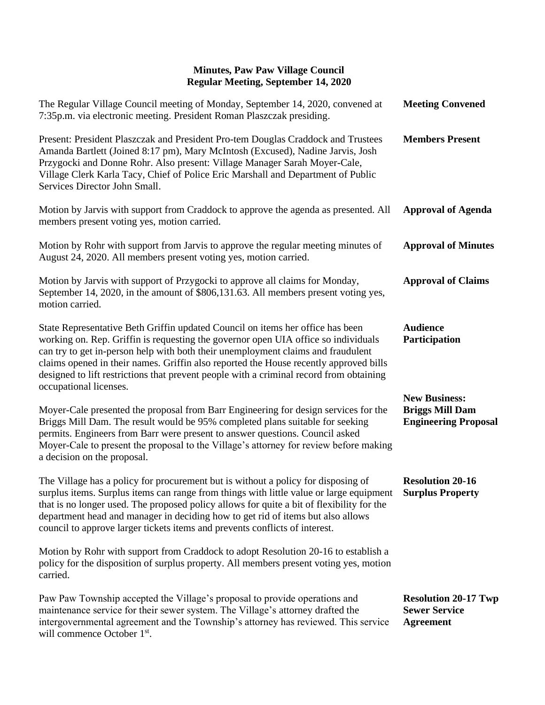| The Regular Village Council meeting of Monday, September 14, 2020, convened at<br>7:35p.m. via electronic meeting. President Roman Plaszczak presiding.                                                                                                                                                                                                                                                                                                                | <b>Meeting Convened</b>                                                       |
|------------------------------------------------------------------------------------------------------------------------------------------------------------------------------------------------------------------------------------------------------------------------------------------------------------------------------------------------------------------------------------------------------------------------------------------------------------------------|-------------------------------------------------------------------------------|
| Present: President Plaszczak and President Pro-tem Douglas Craddock and Trustees<br>Amanda Bartlett (Joined 8:17 pm), Mary McIntosh (Excused), Nadine Jarvis, Josh<br>Przygocki and Donne Rohr. Also present: Village Manager Sarah Moyer-Cale,<br>Village Clerk Karla Tacy, Chief of Police Eric Marshall and Department of Public<br>Services Director John Small.                                                                                                   | <b>Members Present</b>                                                        |
| Motion by Jarvis with support from Craddock to approve the agenda as presented. All<br>members present voting yes, motion carried.                                                                                                                                                                                                                                                                                                                                     | <b>Approval of Agenda</b>                                                     |
| Motion by Rohr with support from Jarvis to approve the regular meeting minutes of<br>August 24, 2020. All members present voting yes, motion carried.                                                                                                                                                                                                                                                                                                                  | <b>Approval of Minutes</b>                                                    |
| Motion by Jarvis with support of Przygocki to approve all claims for Monday,<br>September 14, 2020, in the amount of \$806,131.63. All members present voting yes,<br>motion carried.                                                                                                                                                                                                                                                                                  | <b>Approval of Claims</b>                                                     |
| State Representative Beth Griffin updated Council on items her office has been<br>working on. Rep. Griffin is requesting the governor open UIA office so individuals<br>can try to get in-person help with both their unemployment claims and fraudulent<br>claims opened in their names. Griffin also reported the House recently approved bills<br>designed to lift restrictions that prevent people with a criminal record from obtaining<br>occupational licenses. | <b>Audience</b><br>Participation                                              |
| Moyer-Cale presented the proposal from Barr Engineering for design services for the<br>Briggs Mill Dam. The result would be 95% completed plans suitable for seeking<br>permits. Engineers from Barr were present to answer questions. Council asked<br>Moyer-Cale to present the proposal to the Village's attorney for review before making<br>a decision on the proposal.                                                                                           | <b>New Business:</b><br><b>Briggs Mill Dam</b><br><b>Engineering Proposal</b> |
| The Village has a policy for procurement but is without a policy for disposing of<br>surplus items. Surplus items can range from things with little value or large equipment Surplus Property<br>that is no longer used. The proposed policy allows for quite a bit of flexibility for the<br>department head and manager in deciding how to get rid of items but also allows<br>council to approve larger tickets items and prevents conflicts of interest.           | <b>Resolution 20-16</b>                                                       |
| Motion by Rohr with support from Craddock to adopt Resolution 20-16 to establish a<br>policy for the disposition of surplus property. All members present voting yes, motion<br>carried.                                                                                                                                                                                                                                                                               |                                                                               |
| Paw Paw Township accepted the Village's proposal to provide operations and<br>maintenance service for their sewer system. The Village's attorney drafted the<br>intergovernmental agreement and the Township's attorney has reviewed. This service<br>will commence October 1 <sup>st</sup> .                                                                                                                                                                          | <b>Resolution 20-17 Twp</b><br><b>Sewer Service</b><br><b>Agreement</b>       |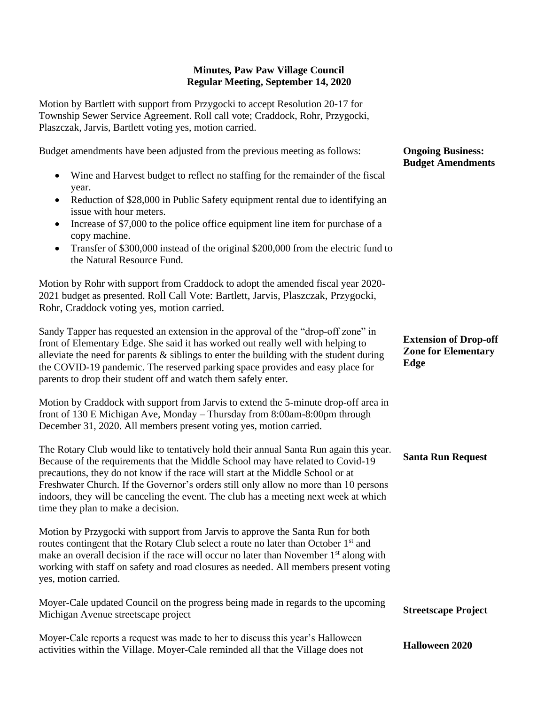Motion by Bartlett with support from Przygocki to accept Resolution 20-17 for Township Sewer Service Agreement. Roll call vote; Craddock, Rohr, Przygocki, Plaszczak, Jarvis, Bartlett voting yes, motion carried.

Budget amendments have been adjusted from the previous meeting as follows: • Wine and Harvest budget to reflect no staffing for the remainder of the fiscal year. • Reduction of \$28,000 in Public Safety equipment rental due to identifying an issue with hour meters. • Increase of \$7,000 to the police office equipment line item for purchase of a copy machine. • Transfer of \$300,000 instead of the original \$200,000 from the electric fund to the Natural Resource Fund.

Motion by Rohr with support from Craddock to adopt the amended fiscal year 2020- 2021 budget as presented. Roll Call Vote: Bartlett, Jarvis, Plaszczak, Przygocki, Rohr, Craddock voting yes, motion carried.

Sandy Tapper has requested an extension in the approval of the "drop-off zone" in front of Elementary Edge. She said it has worked out really well with helping to alleviate the need for parents  $\&$  siblings to enter the building with the student during the COVID-19 pandemic. The reserved parking space provides and easy place for parents to drop their student off and watch them safely enter.

Motion by Craddock with support from Jarvis to extend the 5-minute drop-off area in front of 130 E Michigan Ave, Monday – Thursday from 8:00am-8:00pm through December 31, 2020. All members present voting yes, motion carried.

The Rotary Club would like to tentatively hold their annual Santa Run again this year. Because of the requirements that the Middle School may have related to Covid-19 precautions, they do not know if the race will start at the Middle School or at Freshwater Church. If the Governor's orders still only allow no more than 10 persons indoors, they will be canceling the event. The club has a meeting next week at which time they plan to make a decision.

Motion by Przygocki with support from Jarvis to approve the Santa Run for both routes contingent that the Rotary Club select a route no later than October 1<sup>st</sup> and make an overall decision if the race will occur no later than November  $1<sup>st</sup>$  along with working with staff on safety and road closures as needed. All members present voting yes, motion carried.

Moyer-Cale updated Council on the progress being made in regards to the upcoming Michigan Avenue streetscape project **Streetscape Project**

Moyer-Cale reports a request was made to her to discuss this year's Halloween activities within the Village. Moyer-Cale reminded all that the Village does not **Halloween 2020**

#### **Ongoing Business: Budget Amendments**

## **Extension of Drop-off Zone for Elementary Edge**

### **Santa Run Request**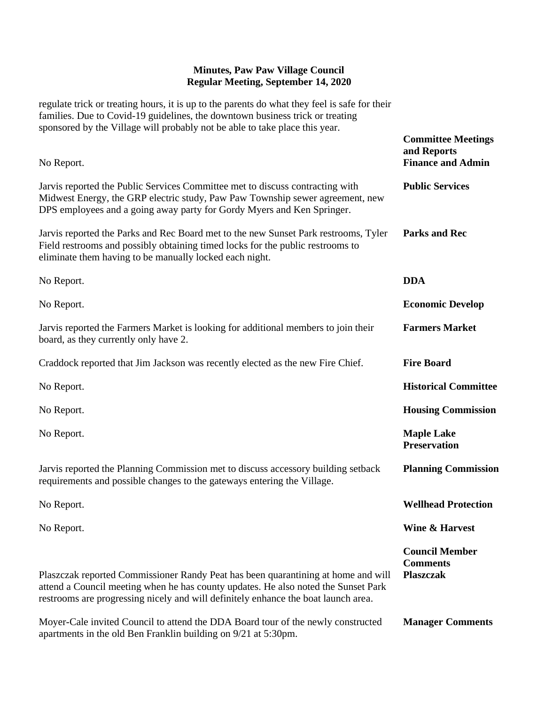regulate trick or treating hours, it is up to the parents do what they feel is safe for their families. Due to Covid-19 guidelines, the downtown business trick or treating sponsored by the Village will probably not be able to take place this year.

| No Report.                                                                                                                                                                                                                                                    | <b>Committee Meetings</b><br>and Reports<br><b>Finance and Admin</b> |
|---------------------------------------------------------------------------------------------------------------------------------------------------------------------------------------------------------------------------------------------------------------|----------------------------------------------------------------------|
| Jarvis reported the Public Services Committee met to discuss contracting with<br>Midwest Energy, the GRP electric study, Paw Paw Township sewer agreement, new<br>DPS employees and a going away party for Gordy Myers and Ken Springer.                      | <b>Public Services</b>                                               |
| Jarvis reported the Parks and Rec Board met to the new Sunset Park restrooms, Tyler<br>Field restrooms and possibly obtaining timed locks for the public restrooms to<br>eliminate them having to be manually locked each night.                              | <b>Parks and Rec</b>                                                 |
| No Report.                                                                                                                                                                                                                                                    | <b>DDA</b>                                                           |
| No Report.                                                                                                                                                                                                                                                    | <b>Economic Develop</b>                                              |
| Jarvis reported the Farmers Market is looking for additional members to join their<br>board, as they currently only have 2.                                                                                                                                   | <b>Farmers Market</b>                                                |
| Craddock reported that Jim Jackson was recently elected as the new Fire Chief.                                                                                                                                                                                | <b>Fire Board</b>                                                    |
| No Report.                                                                                                                                                                                                                                                    | <b>Historical Committee</b>                                          |
| No Report.                                                                                                                                                                                                                                                    | <b>Housing Commission</b>                                            |
| No Report.                                                                                                                                                                                                                                                    | <b>Maple Lake</b><br><b>Preservation</b>                             |
| Jarvis reported the Planning Commission met to discuss accessory building setback<br>requirements and possible changes to the gateways entering the Village.                                                                                                  | <b>Planning Commission</b>                                           |
| No Report.                                                                                                                                                                                                                                                    | <b>Wellhead Protection</b>                                           |
| No Report.                                                                                                                                                                                                                                                    | Wine & Harvest                                                       |
| Plaszczak reported Commissioner Randy Peat has been quarantining at home and will<br>attend a Council meeting when he has county updates. He also noted the Sunset Park<br>restrooms are progressing nicely and will definitely enhance the boat launch area. | <b>Council Member</b><br><b>Comments</b><br><b>Plaszczak</b>         |
| Moyer-Cale invited Council to attend the DDA Board tour of the newly constructed<br>apartments in the old Ben Franklin building on 9/21 at 5:30pm.                                                                                                            | <b>Manager Comments</b>                                              |